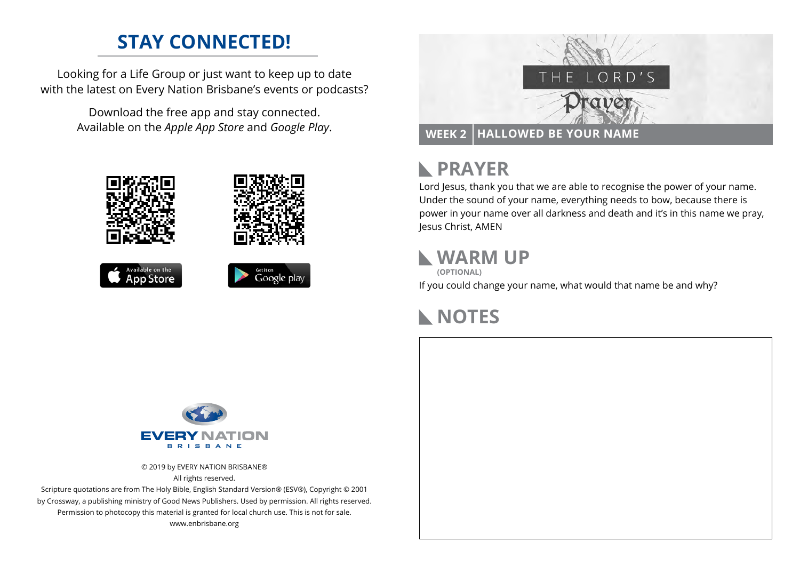# **STAY CONNECTED!**

Looking for a Life Group or just want to keep up to date with the latest on Every Nation Brisbane's events or podcasts?

> Download the free app and stay connected. Available on the *Apple App Store* and *Google Play*.











#### **PRAYER**  $\mathbb{R}$

Lord Jesus, thank you that we are able to recognise the power of your name. Under the sound of your name, everything needs to bow, because there is power in your name over all darkness and death and it's in this name we pray, Jesus Christ, AMEN

### **WARM UP**

**(OPTIONAL)**

If you could change your name, what would that name be and why?

## **NOTES**



© 2019 by EVERY NATION BRISBANE® All rights reserved.

Scripture quotations are from The Holy Bible, English Standard Version® (ESV®), Copyright © 2001 by Crossway, a publishing ministry of Good News Publishers. Used by permission. All rights reserved. Permission to photocopy this material is granted for local church use. This is not for sale. www.enbrisbane.org